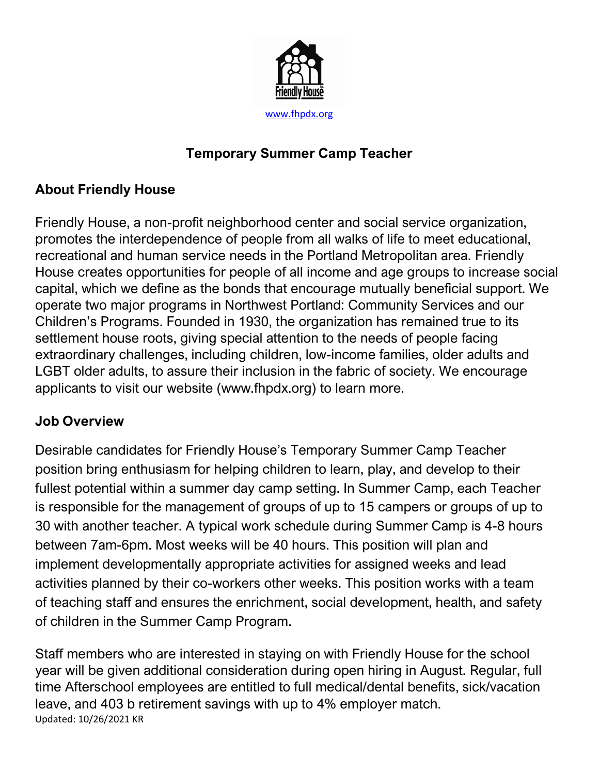

## **Temporary Summer Camp Teacher**

# **About Friendly House**

Friendly House, a non-profit neighborhood center and social service organization, promotes the interdependence of people from all walks of life to meet educational, recreational and human service needs in the Portland Metropolitan area. Friendly House creates opportunities for people of all income and age groups to increase social capital, which we define as the bonds that encourage mutually beneficial support. We operate two major programs in Northwest Portland: Community Services and our Children's Programs. Founded in 1930, the organization has remained true to its settlement house roots, giving special attention to the needs of people facing extraordinary challenges, including children, low-income families, older adults and LGBT older adults, to assure their inclusion in the fabric of society. We encourage applicants to visit our website (www.fhpdx.org) to learn more.

### **Job Overview**

Desirable candidates for Friendly House's Temporary Summer Camp Teacher position bring enthusiasm for helping children to learn, play, and develop to their fullest potential within a summer day camp setting. In Summer Camp, each Teacher is responsible for the management of groups of up to 15 campers or groups of up to 30 with another teacher. A typical work schedule during Summer Camp is 4-8 hours between 7am-6pm. Most weeks will be 40 hours. This position will plan and implement developmentally appropriate activities for assigned weeks and lead activities planned by their co-workers other weeks. This position works with a team of teaching staff and ensures the enrichment, social development, health, and safety of children in the Summer Camp Program.

Updated: 10/26/2021 KR Staff members who are interested in staying on with Friendly House for the school year will be given additional consideration during open hiring in August. Regular, full time Afterschool employees are entitled to full medical/dental benefits, sick/vacation leave, and 403 b retirement savings with up to 4% employer match.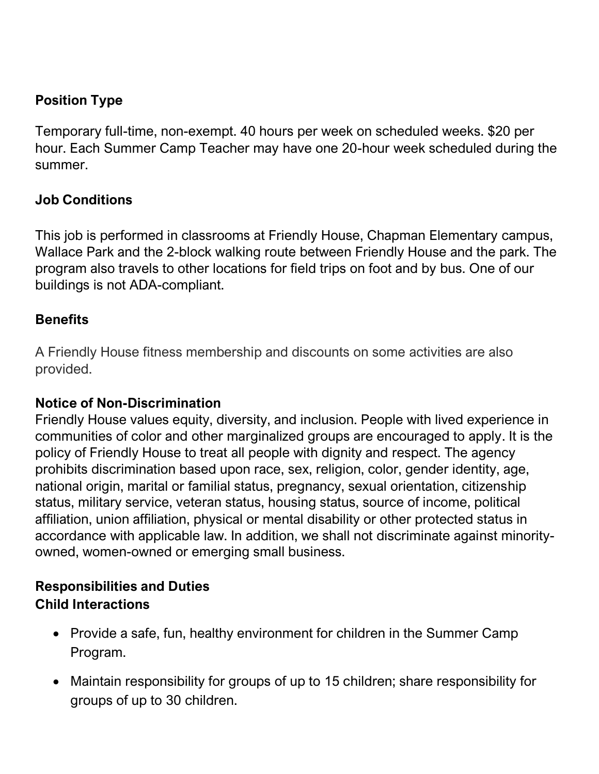## **Position Type**

Temporary full-time, non-exempt. 40 hours per week on scheduled weeks. \$20 per hour. Each Summer Camp Teacher may have one 20-hour week scheduled during the summer.

#### **Job Conditions**

This job is performed in classrooms at Friendly House, Chapman Elementary campus, Wallace Park and the 2-block walking route between Friendly House and the park. The program also travels to other locations for field trips on foot and by bus. One of our buildings is not ADA-compliant.

#### **Benefits**

A Friendly House fitness membership and discounts on some activities are also provided.

#### **Notice of Non-Discrimination**

Friendly House values equity, diversity, and inclusion. People with lived experience in communities of color and other marginalized groups are encouraged to apply. It is the policy of Friendly House to treat all people with dignity and respect. The agency prohibits discrimination based upon race, sex, religion, color, gender identity, age, national origin, marital or familial status, pregnancy, sexual orientation, citizenship status, military service, veteran status, housing status, source of income, political affiliation, union affiliation, physical or mental disability or other protected status in accordance with applicable law. In addition, we shall not discriminate against minorityowned, women-owned or emerging small business.

### **Responsibilities and Duties Child Interactions**

- Provide a safe, fun, healthy environment for children in the Summer Camp Program.
- Maintain responsibility for groups of up to 15 children; share responsibility for groups of up to 30 children.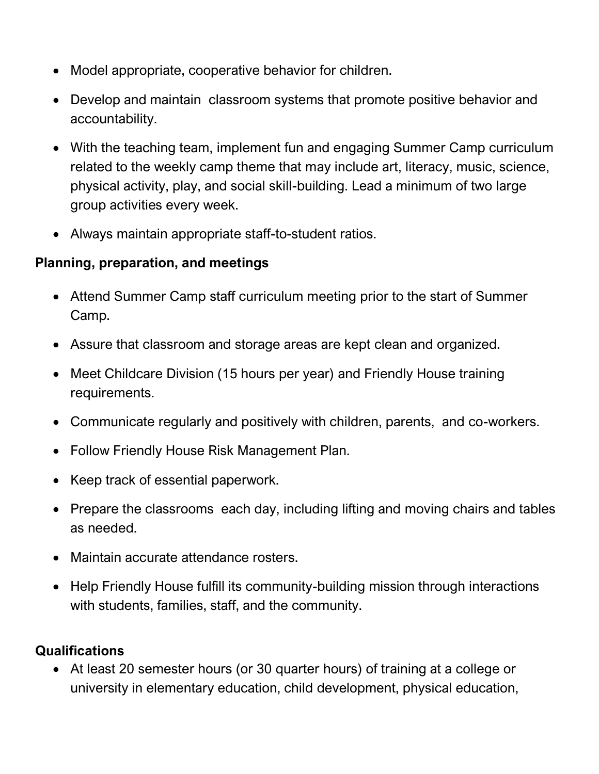- Model appropriate, cooperative behavior for children.
- Develop and maintain classroom systems that promote positive behavior and accountability.
- With the teaching team, implement fun and engaging Summer Camp curriculum related to the weekly camp theme that may include art, literacy, music, science, physical activity, play, and social skill-building. Lead a minimum of two large group activities every week.
- Always maintain appropriate staff-to-student ratios.

### **Planning, preparation, and meetings**

- Attend Summer Camp staff curriculum meeting prior to the start of Summer Camp.
- Assure that classroom and storage areas are kept clean and organized.
- Meet Childcare Division (15 hours per year) and Friendly House training requirements.
- Communicate regularly and positively with children, parents, and co-workers.
- Follow Friendly House Risk Management Plan.
- Keep track of essential paperwork.
- Prepare the classrooms each day, including lifting and moving chairs and tables as needed.
- Maintain accurate attendance rosters.
- Help Friendly House fulfill its community-building mission through interactions with students, families, staff, and the community.

### **Qualifications**

• At least 20 semester hours (or 30 quarter hours) of training at a college or university in elementary education, child development, physical education,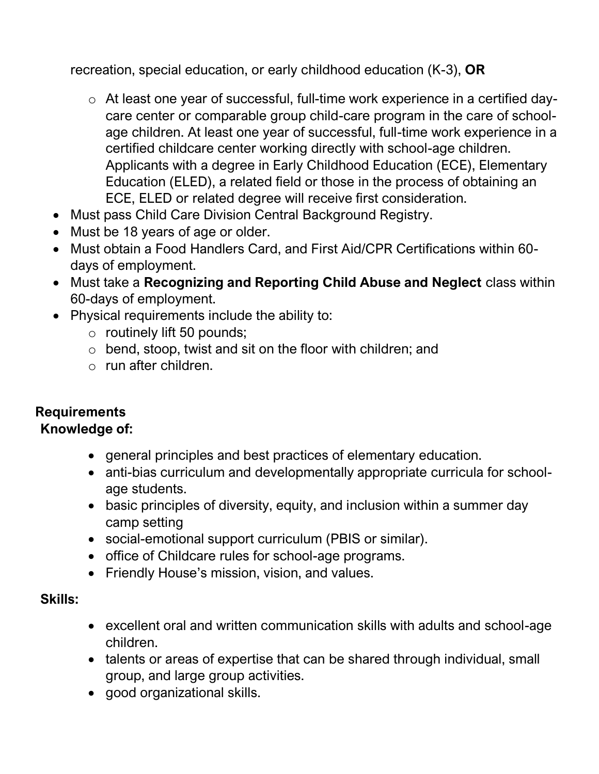recreation, special education, or early childhood education (K-3), **OR**

- o At least one year of successful, full-time work experience in a certified daycare center or comparable group child-care program in the care of schoolage children. At least one year of successful, full-time work experience in a certified childcare center working directly with school-age children. Applicants with a degree in Early Childhood Education (ECE), Elementary Education (ELED), a related field or those in the process of obtaining an ECE, ELED or related degree will receive first consideration.
- Must pass Child Care Division Central Background Registry.
- Must be 18 years of age or older.
- Must obtain a Food Handlers Card, and First Aid/CPR Certifications within 60 days of employment.
- Must take a **Recognizing and Reporting Child Abuse and Neglect** class within 60-days of employment.
- Physical requirements include the ability to:
	- o routinely lift 50 pounds;
	- o bend, stoop, twist and sit on the floor with children; and
	- o run after children.

# **Requirements**

## **Knowledge of:**

- general principles and best practices of elementary education.
- anti-bias curriculum and developmentally appropriate curricula for schoolage students.
- basic principles of diversity, equity, and inclusion within a summer day camp setting
- social-emotional support curriculum (PBIS or similar).
- office of Childcare rules for school-age programs.
- Friendly House's mission, vision, and values.

### **Skills:**

- excellent oral and written communication skills with adults and school-age children.
- talents or areas of expertise that can be shared through individual, small group, and large group activities.
- good organizational skills.